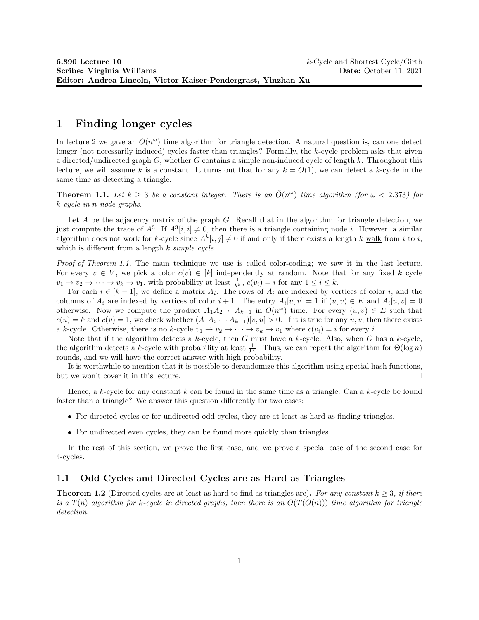## 1 Finding longer cycles

In lecture 2 we gave an  $O(n^{\omega})$  time algorithm for triangle detection. A natural question is, can one detect longer (not necessarily induced) cycles faster than triangles? Formally, the k-cycle problem asks that given a directed/undirected graph G, whether G contains a simple non-induced cycle of length k. Throughout this lecture, we will assume k is a constant. It turns out that for any  $k = O(1)$ , we can detect a k-cycle in the same time as detecting a triangle.

**Theorem 1.1.** Let  $k \geq 3$  be a constant integer. There is an  $\tilde{O}(n^{\omega})$  time algorithm (for  $\omega < 2.373$ ) for k-cycle in n-node graphs.

Let  $A$  be the adjacency matrix of the graph  $G$ . Recall that in the algorithm for triangle detection, we just compute the trace of  $A^3$ . If  $A^3[i, i] \neq 0$ , then there is a triangle containing node *i*. However, a similar algorithm does not work for k-cycle since  $A^k[i, j] \neq 0$  if and only if there exists a length k walk from i to i, which is different from a length  $k \, simple \, cycle.$ 

Proof of Theorem 1.1. The main technique we use is called color-coding; we saw it in the last lecture. For every  $v \in V$ , we pick a color  $c(v) \in [k]$  independently at random. Note that for any fixed k cycle  $v_1 \to v_2 \to \cdots \to v_k \to v_1$ , with probability at least  $\frac{1}{k^k}$ ,  $c(v_i) = i$  for any  $1 \le i \le k$ .

For each  $i \in [k-1]$ , we define a matrix  $A_i$ . The rows of  $A_i$  are indexed by vertices of color i, and the columns of  $A_i$  are indexed by vertices of color  $i+1$ . The entry  $A_i[u, v] = 1$  if  $(u, v) \in E$  and  $A_i[u, v] = 0$ otherwise. Now we compute the product  $A_1 A_2 \cdots A_{k-1}$  in  $O(n^{\omega})$  time. For every  $(u, v) \in E$  such that  $c(u) = k$  and  $c(v) = 1$ , we check whether  $(A_1A_2 \cdots A_{k-1})[v, u] > 0$ . If it is true for any  $u, v$ , then there exists a k-cycle. Otherwise, there is no k-cycle  $v_1 \to v_2 \to \cdots \to v_k \to v_1$  where  $c(v_i) = i$  for every i.

Note that if the algorithm detects a k-cycle, then G must have a k-cycle. Also, when G has a k-cycle, the algorithm detects a k-cycle with probability at least  $\frac{1}{k^k}$ . Thus, we can repeat the algorithm for  $\Theta(\log n)$ rounds, and we will have the correct answer with high probability.

It is worthwhile to mention that it is possible to derandomize this algorithm using special hash functions, but we won't cover it in this lecture.

Hence, a k-cycle for any constant  $k$  can be found in the same time as a triangle. Can a  $k$ -cycle be found faster than a triangle? We answer this question differently for two cases:

- For directed cycles or for undirected odd cycles, they are at least as hard as finding triangles.
- For undirected even cycles, they can be found more quickly than triangles.

In the rest of this section, we prove the first case, and we prove a special case of the second case for 4-cycles.

### 1.1 Odd Cycles and Directed Cycles are as Hard as Triangles

**Theorem 1.2** (Directed cycles are at least as hard to find as triangles are). For any constant  $k > 3$ , if there is a  $T(n)$  algorithm for k-cycle in directed graphs, then there is an  $O(T(O(n)))$  time algorithm for triangle detection.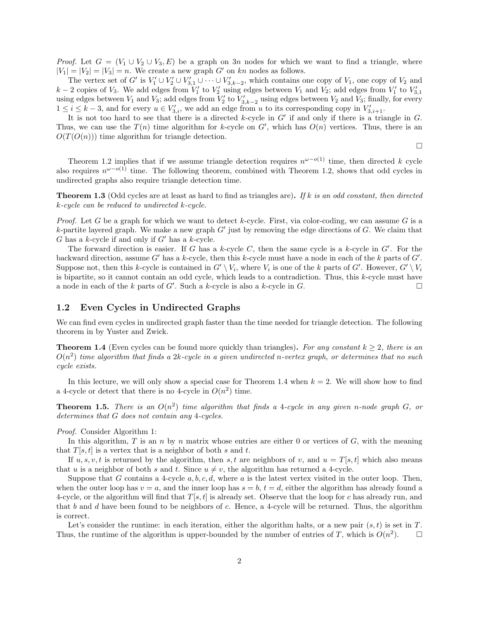*Proof.* Let  $G = (V_1 \cup V_2 \cup V_3, E)$  be a graph on 3n nodes for which we want to find a triangle, where  $|V_1| = |V_2| = |V_3| = n$ . We create a new graph G' on kn nodes as follows.

The vertex set of G' is  $V'_1 \cup V'_2 \cup V'_{3,1} \cup \cdots \cup V'_{3,k-2}$ , which contains one copy of  $V_1$ , one copy of  $V_2$  and  $k-2$  copies of  $V_3$ . We add edges from  $V'_1$  to  $V'_2$  using edges between  $V_1$  and  $V_2$ ; add edges from  $V'_1$  to  $V'_{3,1}$ using edges between  $V_1$  and  $V_3$ ; add edges from  $V'_2$  to  $V'_{3,k-2}$  using edges between  $V_2$  and  $V_3$ ; finally, for every  $1 \leq i \leq k-3$ , and for every  $u \in V'_{3,i}$ , we add an edge from u to its corresponding copy in  $V'_{3,i+1}$ .

It is not too hard to see that there is a directed k-cycle in  $G'$  if and only if there is a triangle in  $G$ . Thus, we can use the  $T(n)$  time algorithm for k-cycle on  $G'$ , which has  $O(n)$  vertices. Thus, there is an  $O(T(O(n)))$  time algorithm for triangle detection.

 $\Box$ 

Theorem 1.2 implies that if we assume triangle detection requires  $n^{\omega-o(1)}$  time, then directed k cycle also requires  $n^{\omega-o(1)}$  time. The following theorem, combined with Theorem 1.2, shows that odd cycles in undirected graphs also require triangle detection time.

Theorem 1.3 (Odd cycles are at least as hard to find as triangles are). If k is an odd constant, then directed k-cycle can be reduced to undirected k-cycle.

*Proof.* Let G be a graph for which we want to detect k-cycle. First, via color-coding, we can assume G is a k-partite layered graph. We make a new graph  $G'$  just by removing the edge directions of  $G$ . We claim that G has a k-cycle if and only if  $G'$  has a k-cycle.

The forward direction is easier. If G has a k-cycle C, then the same cycle is a k-cycle in  $G'$ . For the backward direction, assume G' has a k-cycle, then this k-cycle must have a node in each of the k parts of  $G'$ . Suppose not, then this k-cycle is contained in  $G' \setminus V_i$ , where  $V_i$  is one of the k parts of  $G'$ . However,  $G' \setminus V_i$ is bipartite, so it cannot contain an odd cycle, which leads to a contradiction. Thus, this k-cycle must have a node in each of the k parts of G'. Such a k-cycle is also a k-cycle in G.

#### 1.2 Even Cycles in Undirected Graphs

We can find even cycles in undirected graph faster than the time needed for triangle detection. The following theorem in by Yuster and Zwick.

**Theorem 1.4** (Even cycles can be found more quickly than triangles). For any constant  $k \geq 2$ , there is an  $O(n^2)$  time algorithm that finds a 2k-cycle in a given undirected n-vertex graph, or determines that no such cycle exists.

In this lecture, we will only show a special case for Theorem 1.4 when  $k = 2$ . We will show how to find a 4-cycle or detect that there is no 4-cycle in  $O(n^2)$  time.

**Theorem 1.5.** There is an  $O(n^2)$  time algorithm that finds a 4-cycle in any given n-node graph G, or determines that G does not contain any 4-cycles.

Proof. Consider Algorithm 1:

In this algorithm,  $T$  is an  $n$  by  $n$  matrix whose entries are either 0 or vertices of  $G$ , with the meaning that  $T[s, t]$  is a vertex that is a neighbor of both s and t.

If  $u, s, v, t$  is returned by the algorithm, then s, t are neighbors of v, and  $u = T[s, t]$  which also means that u is a neighbor of both s and t. Since  $u \neq v$ , the algorithm has returned a 4-cycle.

Suppose that G contains a 4-cycle  $a, b, c, d$ , where a is the latest vertex visited in the outer loop. Then, when the outer loop has  $v = a$ , and the inner loop has  $s = b$ ,  $t = d$ , either the algorithm has already found a 4-cycle, or the algorithm will find that  $T[s, t]$  is already set. Observe that the loop for c has already run, and that b and d have been found to be neighbors of c. Hence, a 4-cycle will be returned. Thus, the algorithm is correct.

Let's consider the runtime: in each iteration, either the algorithm halts, or a new pair  $(s, t)$  is set in T. Thus, the runtime of the algorithm is upper-bounded by the number of entries of T, which is  $O(n^2)$  $\Box$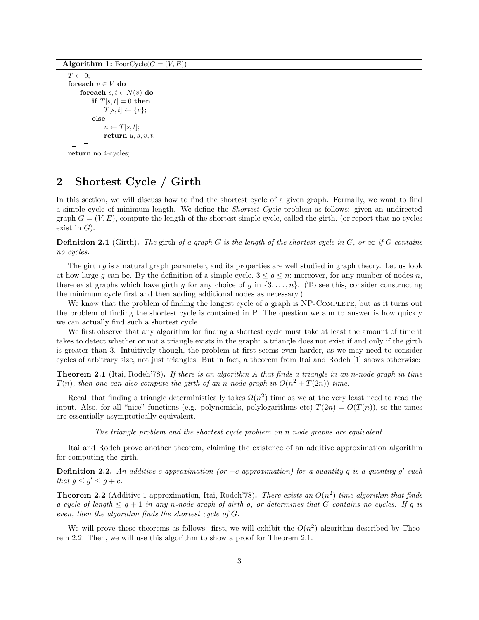Algorithm 1: FourCycle( $G = (V, E)$ )

```
T \leftarrow 0;
foreach v \in V do
     foreach s, t \in N(v) do
         if T[s, t] = 0 then
           \vert T[s, t] \leftarrow \{v\};else
              u \leftarrow T[s, t];return u, s, v, t;
```

```
return no 4-cycles;
```
# 2 Shortest Cycle / Girth

In this section, we will discuss how to find the shortest cycle of a given graph. Formally, we want to find a simple cycle of minimum length. We define the Shortest Cycle problem as follows: given an undirected graph  $G = (V, E)$ , compute the length of the shortest simple cycle, called the girth, (or report that no cycles exist in  $G$ ).

**Definition 2.1** (Girth). The girth of a graph G is the length of the shortest cycle in G, or  $\infty$  if G contains no cycles.

The girth g is a natural graph parameter, and its properties are well studied in graph theory. Let us look at how large g can be. By the definition of a simple cycle,  $3 \leq g \leq n$ ; moreover, for any number of nodes n, there exist graphs which have girth g for any choice of g in  $\{3,\ldots,n\}$ . (To see this, consider constructing the minimum cycle first and then adding additional nodes as necessary.)

We know that the problem of finding the longest cycle of a graph is NP-COMPLETE, but as it turns out the problem of finding the shortest cycle is contained in P. The question we aim to answer is how quickly we can actually find such a shortest cycle.

We first observe that any algorithm for finding a shortest cycle must take at least the amount of time it takes to detect whether or not a triangle exists in the graph: a triangle does not exist if and only if the girth is greater than 3. Intuitively though, the problem at first seems even harder, as we may need to consider cycles of arbitrary size, not just triangles. But in fact, a theorem from Itai and Rodeh [1] shows otherwise:

**Theorem 2.1** (Itai, Rodeh'78). If there is an algorithm A that finds a triangle in an n-node graph in time  $T(n)$ , then one can also compute the girth of an n-node graph in  $O(n^2 + T(2n))$  time.

Recall that finding a triangle deterministically takes  $\Omega(n^2)$  time as we at the very least need to read the input. Also, for all "nice" functions (e.g. polynomials, polylogarithms etc)  $T(2n) = O(T(n))$ , so the times are essentially asymptotically equivalent.

The triangle problem and the shortest cycle problem on n node graphs are equivalent.

Itai and Rodeh prove another theorem, claiming the existence of an additive approximation algorithm for computing the girth.

**Definition 2.2.** An additive c-approximation (or +c-approximation) for a quantity g is a quantity g' such that  $g \le g' \le g + c$ .

**Theorem 2.2** (Additive 1-approximation, Itai, Rodeh'78). There exists an  $O(n^2)$  time algorithm that finds a cycle of length  $\leq g+1$  in any n-node graph of girth g, or determines that G contains no cycles. If g is even, then the algorithm finds the shortest cycle of G.

We will prove these theorems as follows: first, we will exhibit the  $O(n^2)$  algorithm described by Theorem 2.2. Then, we will use this algorithm to show a proof for Theorem 2.1.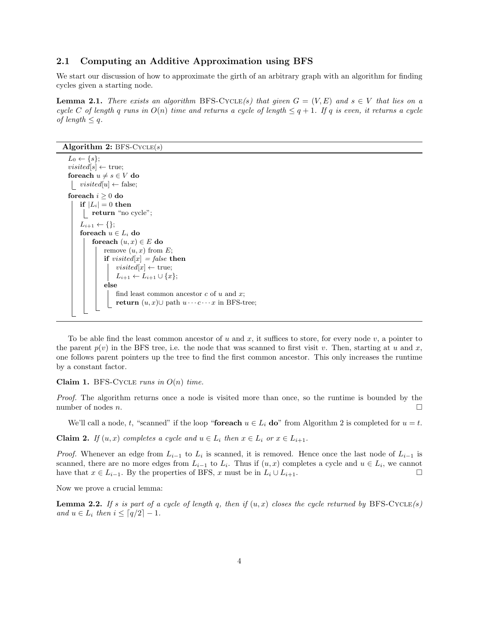### 2.1 Computing an Additive Approximation using BFS

We start our discussion of how to approximate the girth of an arbitrary graph with an algorithm for finding cycles given a starting node.

**Lemma 2.1.** There exists an algorithm BFS-CYCLE(s) that given  $G = (V, E)$  and  $s \in V$  that lies on a cycle C of length q runs in  $O(n)$  time and returns a cycle of length  $\leq q+1$ . If q is even, it returns a cycle of length  $\leq q$ .

#### Algorithm 2:  $BFS-CYCLE(s)$

```
L_0 \leftarrow \{s\};visited[s] \leftarrow true;foreach u \neq s \in V do
 | visited[u] \leftarrow false;foreach i \geq 0 do
    if |L_i| = 0 then
     return "no cycle";
    L_{i+1} \leftarrow \{\};foreach u \in L_i do
         foreach (u, x) \in E do
             remove (u, x) from E;
             if visited[x] = false then
                  visited[x] \leftarrow true;L_{i+1} \leftarrow L_{i+1} \cup \{x\};else
                  find least common ancestor c of u and x;
                  return (u, x)∪ path u \cdots c \cdots x in BFS-tree;
```
To be able find the least common ancestor of u and x, it suffices to store, for every node v, a pointer to the parent  $p(v)$  in the BFS tree, i.e. the node that was scanned to first visit v. Then, starting at u and x, one follows parent pointers up the tree to find the first common ancestor. This only increases the runtime by a constant factor.

Claim 1. BFS-CYCLE runs in  $O(n)$  time.

Proof. The algorithm returns once a node is visited more than once, so the runtime is bounded by the number of nodes *n*.

We'll call a node, t, "scanned" if the loop "foreach  $u \in L_i$  do" from Algorithm 2 is completed for  $u = t$ .

**Claim 2.** If  $(u, x)$  completes a cycle and  $u \in L_i$  then  $x \in L_i$  or  $x \in L_{i+1}$ .

*Proof.* Whenever an edge from  $L_{i-1}$  to  $L_i$  is scanned, it is removed. Hence once the last node of  $L_{i-1}$  is scanned, there are no more edges from  $L_{i-1}$  to  $L_i$ . Thus if  $(u, x)$  completes a cycle and  $u \in L_i$ , we cannot have that  $x \in L_{i-1}$ . By the properties of BFS, x must be in  $L_i \cup L_{i+1}$ .

Now we prove a crucial lemma:

**Lemma 2.2.** If s is part of a cycle of length q, then if  $(u, x)$  closes the cycle returned by BFS-CYCLE(s) and  $u \in L_i$  then  $i \leq \lceil q/2 \rceil - 1$ .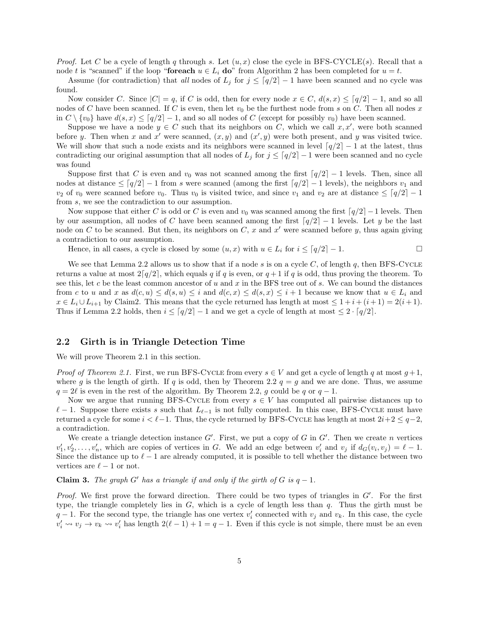*Proof.* Let C be a cycle of length q through s. Let  $(u, x)$  close the cycle in BFS-CYCLE(s). Recall that a node t is "scanned" if the loop "foreach  $u \in L_i$  do" from Algorithm 2 has been completed for  $u = t$ .

Assume (for contradiction) that all nodes of  $L_j$  for  $j \leq \lceil q/2 \rceil - 1$  have been scanned and no cycle was found.

Now consider C. Since  $|C| = q$ , if C is odd, then for every node  $x \in C$ ,  $d(s, x) \leq [q/2] - 1$ , and so all nodes of C have been scanned. If C is even, then let  $v_0$  be the furthest node from s on C. Then all nodes x in  $C \setminus \{v_0\}$  have  $d(s, x) \leq [q/2] - 1$ , and so all nodes of C (except for possibly  $v_0$ ) have been scanned.

Suppose we have a node  $y \in C$  such that its neighbors on C, which we call  $x, x'$ , were both scanned before y. Then when x and x' were scanned,  $(x, y)$  and  $(x', y)$  were both present, and y was visited twice. We will show that such a node exists and its neighbors were scanned in level  $\lceil q/2 \rceil - 1$  at the latest, thus contradicting our original assumption that all nodes of  $L_j$  for  $j \leq \lceil q/2 \rceil - 1$  were been scanned and no cycle was found

Suppose first that C is even and  $v_0$  was not scanned among the first  $\lceil q/2 \rceil - 1$  levels. Then, since all nodes at distance  $\leq \lfloor q/2 \rfloor - 1$  from s were scanned (among the first  $\lfloor q/2 \rfloor - 1$  levels), the neighbors  $v_1$  and  $v_2$  of  $v_0$  were scanned before  $v_0$ . Thus  $v_0$  is visited twice, and since  $v_1$  and  $v_2$  are at distance  $\leq \lceil q/2 \rceil - 1$ from s, we see the contradiction to our assumption.

Now suppose that either C is odd or C is even and  $v_0$  was scanned among the first  $\lceil q/2 \rceil - 1$  levels. Then by our assumption, all nodes of C have been scanned among the first  $\lceil q/2 \rceil - 1$  levels. Let y be the last node on C to be scanned. But then, its neighbors on C, x and  $x'$  were scanned before y, thus again giving a contradiction to our assumption.

Hence, in all cases, a cycle is closed by some  $(u, x)$  with  $u \in L_i$  for  $i \leq \lceil q/2 \rceil - 1$ .

We see that Lemma 2.2 allows us to show that if a node s is on a cycle  $C$ , of length q, then BFS-CYCLE returns a value at most  $2\lfloor q/2 \rfloor$ , which equals q if q is even, or  $q + 1$  if q is odd, thus proving the theorem. To see this, let c be the least common ancestor of  $u$  and  $x$  in the BFS tree out of  $s$ . We can bound the distances from c to u and x as  $d(c, u) \leq d(s, u) \leq i$  and  $d(c, x) \leq d(s, x) \leq i + 1$  because we know that  $u \in L_i$  and  $x \in L_i \cup L_{i+1}$  by Claim2. This means that the cycle returned has length at most  $\leq 1 + i + (i+1) = 2(i+1)$ . Thus if Lemma 2.2 holds, then  $i \leq \lceil q/2 \rceil - 1$  and we get a cycle of length at most  $\leq 2 \cdot \lceil q/2 \rceil$ .

### 2.2 Girth is in Triangle Detection Time

We will prove Theorem 2.1 in this section.

*Proof of Theorem 2.1.* First, we run BFS-CYCLE from every  $s \in V$  and get a cycle of length q at most  $g+1$ , where g is the length of girth. If q is odd, then by Theorem 2.2  $q = g$  and we are done. Thus, we assume  $q = 2\ell$  is even in the rest of the algorithm. By Theorem 2.2, g could be q or  $q - 1$ .

Now we argue that running BFS-CYCLE from every  $s \in V$  has computed all pairwise distances up to  $\ell - 1$ . Suppose there exists s such that  $L_{\ell-1}$  is not fully computed. In this case, BFS-Cycle must have returned a cycle for some  $i < \ell-1$ . Thus, the cycle returned by BFS-Cycle has length at most  $2i+2 \leq q-2$ , a contradiction.

We create a triangle detection instance  $G'$ . First, we put a copy of  $G$  in  $G'$ . Then we create  $n$  vertices  $v'_1, v'_2, \ldots, v'_n$ , which are copies of vertices in G. We add an edge between  $v'_i$  and  $v_j$  if  $d_G(v_i, v_j) = \ell - 1$ . Since the distance up to  $\ell - 1$  are already computed, it is possible to tell whether the distance between two vertices are  $\ell - 1$  or not.

**Claim 3.** The graph G' has a triangle if and only if the girth of G is  $q - 1$ .

*Proof.* We first prove the forward direction. There could be two types of triangles in  $G'$ . For the first type, the triangle completely lies in  $G$ , which is a cycle of length less than  $q$ . Thus the girth must be  $q-1$ . For the second type, the triangle has one vertex  $v'_i$  connected with  $v_j$  and  $v_k$ . In this case, the cycle  $v'_i \rightsquigarrow v_j \rightarrow v_k \rightsquigarrow v'_i$  has length  $2(\ell-1)+1=q-1$ . Even if this cycle is not simple, there must be an even